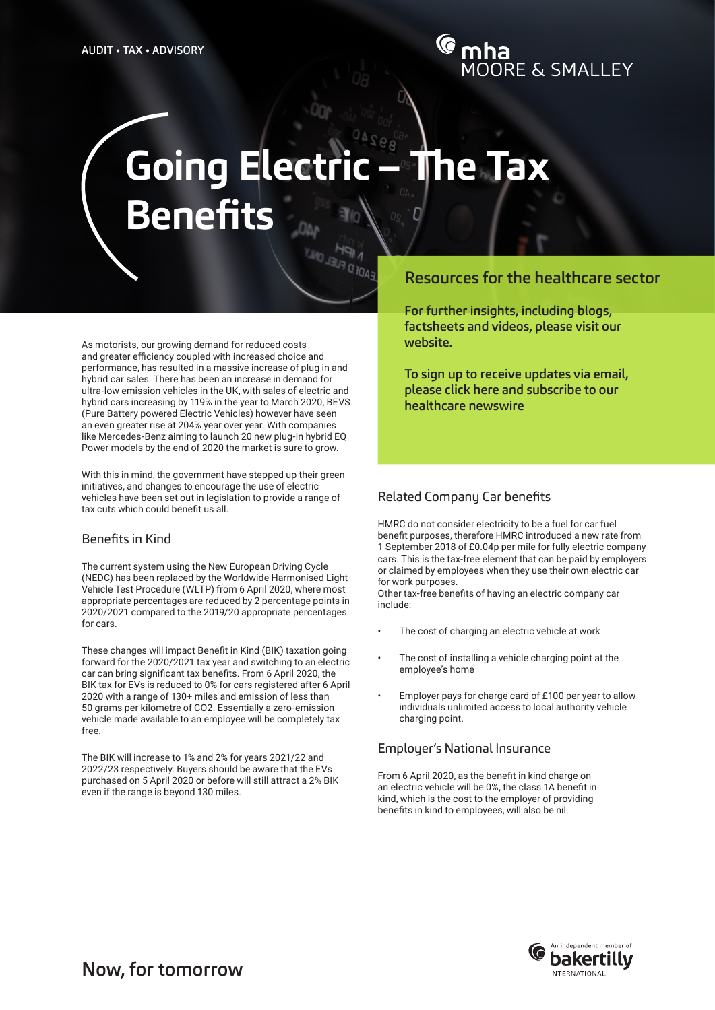# **Going Electric – The Tax Benefits**

As motorists, our growing demand for reduced costs and greater efficiency coupled with increased choice and performance, has resulted in a massive increase of plug in and hybrid car sales. There has been an increase in demand for ultra-low emission vehicles in the UK, with sales of electric and hybrid cars increasing by 119% in the year to March 2020, BEVS (Pure Battery powered Electric Vehicles) however have seen an even greater rise at 204% year over year. With companies like Mercedes-Benz aiming to launch 20 new plug-in hybrid EQ Power models by the end of 2020 the market is sure to grow.

With this in mind, the government have stepped up their green initiatives, and changes to encourage the use of electric vehicles have been set out in legislation to provide a range of tax cuts which could benefit us all.

#### Benefits in Kind

The current system using the New European Driving Cycle (NEDC) has been replaced by the Worldwide Harmonised Light Vehicle Test Procedure (WLTP) from 6 April 2020, where most appropriate percentages are reduced by 2 percentage points in 2020/2021 compared to the 2019/20 appropriate percentages for cars.

These changes will impact Benefit in Kind (BIK) taxation going forward for the 2020/2021 tax year and switching to an electric car can bring significant tax benefits. From 6 April 2020, the BIK tax for EVs is reduced to 0% for cars registered after 6 April 2020 with a range of 130+ miles and emission of less than 50 grams per kilometre of CO2. Essentially a zero-emission vehicle made available to an employee will be completely tax free.

The BIK will increase to 1% and 2% for years 2021/22 and 2022/23 respectively. Buyers should be aware that the EVs purchased on 5 April 2020 or before will still attract a 2% BIK even if the range is beyond 130 miles.

## Resources for the healthcare sector

[For further insights, including blogs,](https://mooreandsmalley.co.uk/)  [factsheets and videos, please visit our](https://mooreandsmalley.co.uk/)  [website.](https://mooreandsmalley.co.uk/)

[To sign up to receive updates via email,](http://www.mooreandsmalley.co.uk/newswire-subscribe/)  [please click here and subscribe to our](http://www.mooreandsmalley.co.uk/newswire-subscribe/)  [healthcare newswire](http://www.mooreandsmalley.co.uk/newswire-subscribe/)

### Related Company Car benefits

HMRC do not consider electricity to be a fuel for car fuel benefit purposes, therefore HMRC introduced a new rate from 1 September 2018 of £0.04p per mile for fully electric company cars. This is the tax-free element that can be paid by employers or claimed by employees when they use their own electric car for work purposes.

Other tax-free benefits of having an electric company car include:

- The cost of charging an electric vehicle at work
- The cost of installing a vehicle charging point at the employee's home
- Employer pays for charge card of £100 per year to allow individuals unlimited access to local authority vehicle charging point.

#### Employer's National Insurance

From 6 April 2020, as the benefit in kind charge on an electric vehicle will be 0%, the class 1A benefit in kind, which is the cost to the employer of providing benefits in kind to employees, will also be nil.